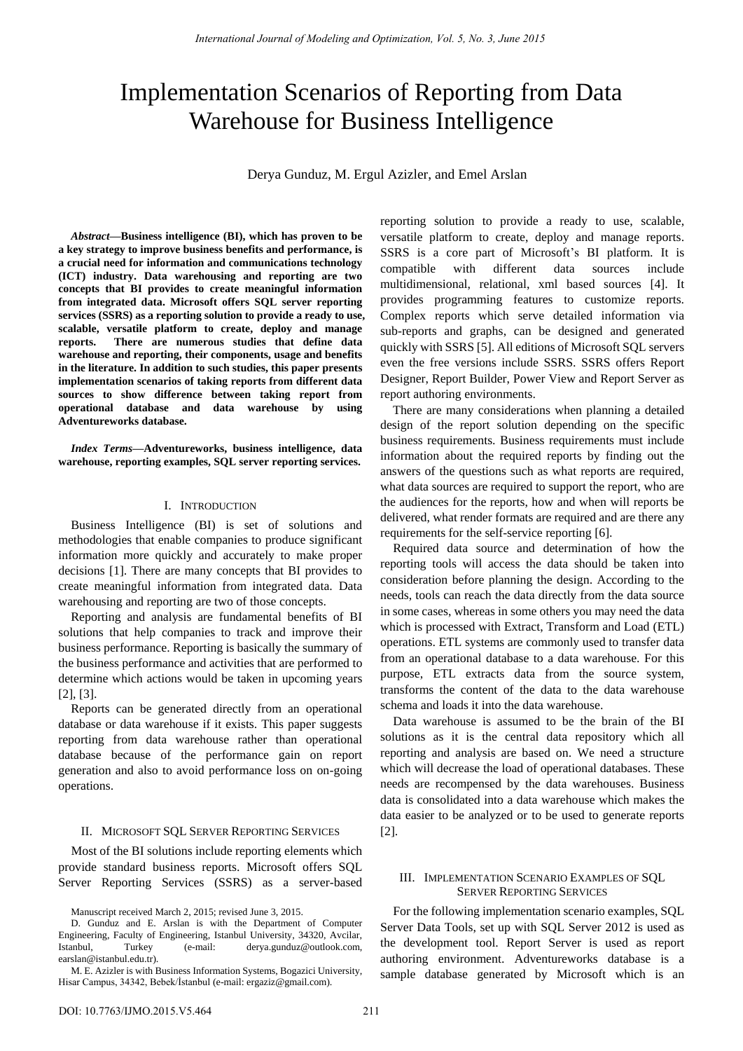# Implementation Scenarios of Reporting from Data Warehouse for Business Intelligence

Derya Gunduz, M. Ergul Azizler, and Emel Arslan

*Abstract***—Business intelligence (BI), which has proven to be a key strategy to improve business benefits and performance, is a crucial need for information and communications technology (ICT) industry. Data warehousing and reporting are two concepts that BI provides to create meaningful information from integrated data. Microsoft offers SQL server reporting services (SSRS) as a reporting solution to provide a ready to use, scalable, versatile platform to create, deploy and manage reports. There are numerous studies that define data warehouse and reporting, their components, usage and benefits in the literature. In addition to such studies, this paper presents implementation scenarios of taking reports from different data sources to show difference between taking report from operational database and data warehouse by using Adventureworks database.** 

*Index Terms***—Adventureworks, business intelligence, data warehouse, reporting examples, SQL server reporting services.** 

### I. INTRODUCTION

Business Intelligence (BI) is set of solutions and methodologies that enable companies to produce significant information more quickly and accurately to make proper decisions [1]. There are many concepts that BI provides to create meaningful information from integrated data. Data warehousing and reporting are two of those concepts.

Reporting and analysis are fundamental benefits of BI solutions that help companies to track and improve their business performance. Reporting is basically the summary of the business performance and activities that are performed to determine which actions would be taken in upcoming years [2], [3].

Reports can be generated directly from an operational database or data warehouse if it exists. This paper suggests reporting from data warehouse rather than operational database because of the performance gain on report generation and also to avoid performance loss on on-going operations.

## II. MICROSOFT SQL SERVER REPORTING SERVICES

Most of the BI solutions include reporting elements which provide standard business reports. Microsoft offers SQL Server Reporting Services (SSRS) as a server-based

Manuscript received March 2, 2015; revised June 3, 2015.

reporting solution to provide a ready to use, scalable, versatile platform to create, deploy and manage reports. SSRS is a core part of Microsoft's BI platform. It is compatible with different data sources include multidimensional, relational, xml based sources [4]. It provides programming features to customize reports. Complex reports which serve detailed information via sub-reports and graphs, can be designed and generated quickly with SSRS [5]. All editions of Microsoft SQL servers even the free versions include SSRS. SSRS offers Report Designer, Report Builder, Power View and Report Server as report authoring environments.

There are many considerations when planning a detailed design of the report solution depending on the specific business requirements. Business requirements must include information about the required reports by finding out the answers of the questions such as what reports are required, what data sources are required to support the report, who are the audiences for the reports, how and when will reports be delivered, what render formats are required and are there any requirements for the self-service reporting [6].

Required data source and determination of how the reporting tools will access the data should be taken into consideration before planning the design. According to the needs, tools can reach the data directly from the data source in some cases, whereas in some others you may need the data which is processed with Extract, Transform and Load (ETL) operations. ETL systems are commonly used to transfer data from an operational database to a data warehouse. For this purpose, ETL extracts data from the source system, transforms the content of the data to the data warehouse schema and loads it into the data warehouse.

Data warehouse is assumed to be the brain of the BI solutions as it is the central data repository which all reporting and analysis are based on. We need a structure which will decrease the load of operational databases. These needs are recompensed by the data warehouses. Business data is consolidated into a data warehouse which makes the data easier to be analyzed or to be used to generate reports [2].

## III. IMPLEMENTATION SCENARIO EXAMPLES OF SQL SERVER REPORTING SERVICES

For the following implementation scenario examples, SQL Server Data Tools, set up with SQL Server 2012 is used as the development tool. Report Server is used as report authoring environment. Adventureworks database is a sample database generated by Microsoft which is an

D. Gunduz and E. Arslan is with the Department of Computer Engineering, Faculty of Engineering, Istanbul University, 34320, Avcilar, Istanbul, Turkey (e-mail: derya.gunduz@outlook.com, earslan@istanbul.edu.tr).

M. E. Azizler is with Business Information Systems, Bogazici University, Hisar Campus, 34342, Bebek/İstanbul (e-mail: ergaziz@gmail.com).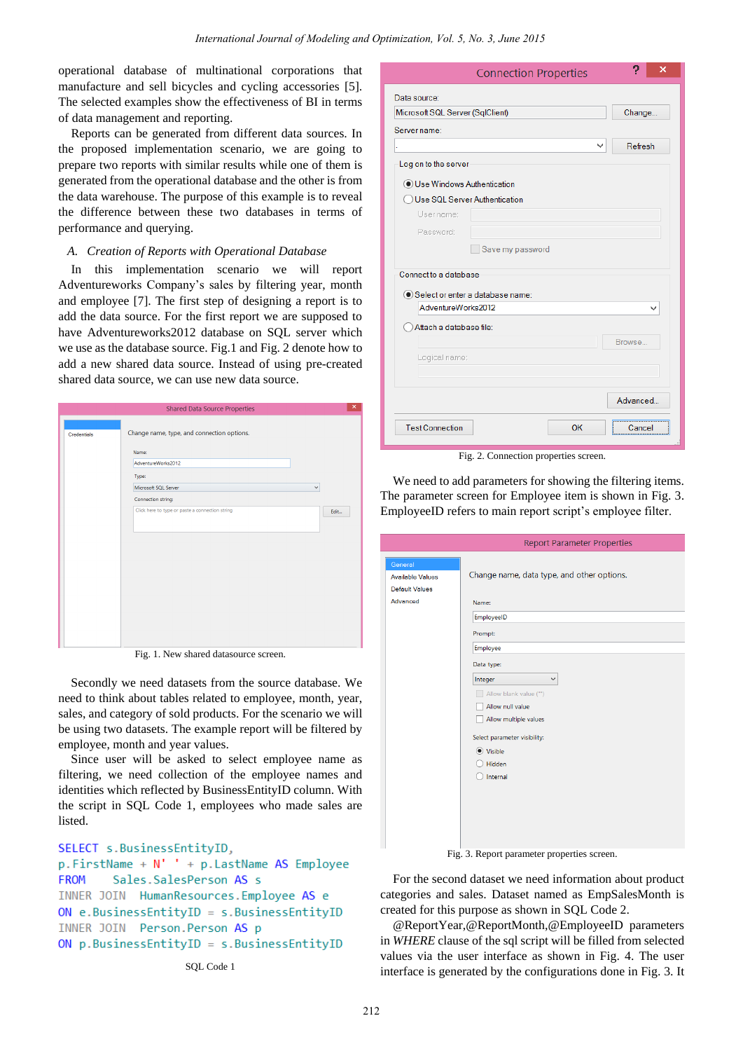operational database of multinational corporations that manufacture and sell bicycles and cycling accessories [5]. The selected examples show the effectiveness of BI in terms of data management and reporting.

Reports can be generated from different data sources. In the proposed implementation scenario, we are going to prepare two reports with similar results while one of them is generated from the operational database and the other is from the data warehouse. The purpose of this example is to reveal the difference between these two databases in terms of performance and querying.

# *A. Creation of Reports with Operational Database*

In this implementation scenario we will report Adventureworks Company's sales by filtering year, month and employee [7]. The first step of designing a report is to add the data source. For the first report we are supposed to have Adventureworks2012 database on SQL server which we use as the database source. Fig.1 and Fig. 2 denote how to add a new shared data source. Instead of using pre-created shared data source, we can use new data source.

|                    | <b>Shared Data Source Properties</b>            | $\pmb{\times}$ |
|--------------------|-------------------------------------------------|----------------|
| <b>Credentials</b> | Change name, type, and connection options.      |                |
|                    | Name:<br>AdventureWorks2012                     |                |
|                    | Type:<br>Microsoft SQL Server<br>$\checkmark$   |                |
|                    | Connection string:                              |                |
|                    | Click here to type or paste a connection string | Edit           |
|                    |                                                 |                |
|                    |                                                 |                |
|                    |                                                 |                |
|                    |                                                 |                |
|                    |                                                 |                |

Fig. 1. New shared datasource screen.

Secondly we need datasets from the source database. We need to think about tables related to employee, month, year, sales, and category of sold products. For the scenario we will be using two datasets. The example report will be filtered by employee, month and year values.

Since user will be asked to select employee name as filtering, we need collection of the employee names and identities which reflected by BusinessEntityID column. With the script in SQL Code 1, employees who made sales are listed.

```
SELECT s.BusinessEntityID,
p.FirstName + N' ' + p.LastName AS EmployeeFROM
        Sales.SalesPerson AS s
INNER JOIN HumanResources.Employee AS e
ON e.BusinessEntitvID = s.BusinesEntityIDINNER JOIN Person. Person AS p
ON p. Business Entity ID = s. Business Entity ID
```

|                                                        | <b>Connection Properties</b> | 2<br>×   |
|--------------------------------------------------------|------------------------------|----------|
| Data source:                                           |                              |          |
| Microsoft SQL Server (SqlClient)                       |                              | Change   |
| Server name:                                           |                              |          |
|                                                        | v                            | Refresh  |
| Log on to the server                                   |                              |          |
| Use Windows Authentication                             |                              |          |
| Use SQL Server Authentication                          |                              |          |
| User name:                                             |                              |          |
| Password:                                              |                              |          |
| Save my password                                       |                              |          |
| Connect to a database                                  |                              |          |
| Select or enter a database name:<br>AdventureWorks2012 |                              |          |
|                                                        |                              |          |
| Attach a database file:                                |                              |          |
|                                                        |                              | Browse   |
| Logical name:                                          |                              |          |
|                                                        |                              |          |
|                                                        |                              | Advanced |
| <b>Test Connection</b>                                 | OK                           | Cancel   |

Fig. 2. Connection properties screen.

We need to add parameters for showing the filtering items. The parameter screen for Employee item is shown in Fig. 3. EmployeeID refers to main report script's employee filter.

| <b>Report Parameter Properties</b>         |
|--------------------------------------------|
|                                            |
| Change name, data type, and other options. |
|                                            |
| Name:                                      |
| EmployeeID                                 |
| Prompt:                                    |
| Employee                                   |
| Data type:                                 |
| Integer<br>$\checkmark$                    |
| Allow blank value ("")                     |
| Allow null value                           |
| Allow multiple values                      |
| Select parameter visibility:               |
| (C) Visible                                |
| Hidden                                     |
| Internal                                   |
|                                            |
|                                            |
|                                            |
|                                            |
|                                            |

Fig. 3. Report parameter properties screen.

For the second dataset we need information about product categories and sales. Dataset named as EmpSalesMonth is created for this purpose as shown in SQL Code 2.

@ReportYear,@ReportMonth,@EmployeeID parameters in *WHERE* clause of the sql script will be filled from selected values via the user interface as shown in Fig. 4. The user interface is generated by the configurations done in Fig. 3. It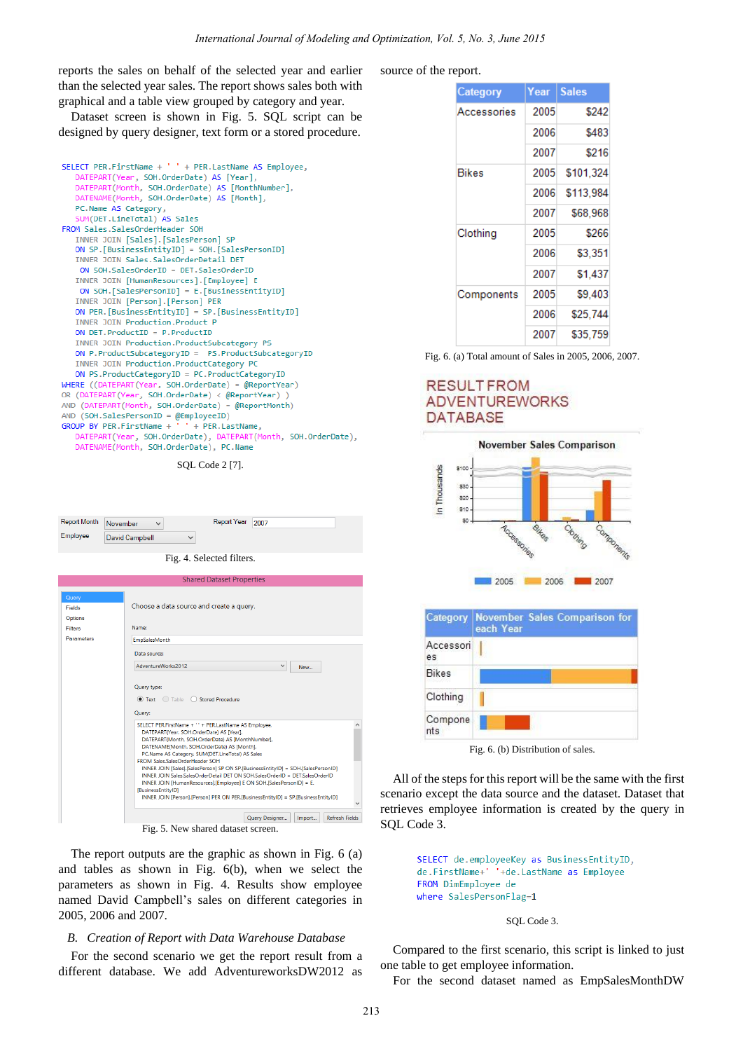reports the sales on behalf of the selected year and earlier than the selected year sales. The report shows sales both with graphical and a table view grouped by category and year.

Dataset screen is shown in Fig. 5. SQL script can be designed by query designer, text form or a stored procedure.



SQL Code 2 [7].

| <b>Report Month</b> | November       | Report Year 2007 |  |
|---------------------|----------------|------------------|--|
| Employee            | David Campbell |                  |  |

Fig. 4. Selected filters.

|                | Shared Dataset Properties                                                                                                                                                                                                                        |  |
|----------------|--------------------------------------------------------------------------------------------------------------------------------------------------------------------------------------------------------------------------------------------------|--|
| Query          |                                                                                                                                                                                                                                                  |  |
| <b>Fields</b>  | Choose a data source and create a query.                                                                                                                                                                                                         |  |
| Options        |                                                                                                                                                                                                                                                  |  |
| <b>Filters</b> | Name:                                                                                                                                                                                                                                            |  |
| Parameters     | <b>EmpSalesMonth</b>                                                                                                                                                                                                                             |  |
|                | Data source:                                                                                                                                                                                                                                     |  |
|                | AdventureWorks2012<br>$\checkmark$<br>New                                                                                                                                                                                                        |  |
|                | Text Table<br>$\bigcirc$<br><b>Stored Procedure</b><br>Query:<br>SELECT PER.FirstName + '' + PER.LastName AS Employee,<br>DATEPART(Year, SOH.OrderDate) AS [Year],                                                                               |  |
|                | DATEPART(Month, SOH.OrderDate) AS [MonthNumber],<br>DATENAME(Month, SOH.OrderDate) AS [Month],<br>PC.Name AS Category, SUM(DET.LineTotal) AS Sales<br>FROM Sales.SalesOrderHeader SOH                                                            |  |
|                | INNER JOIN [Sales].[SalesPerson] SP ON SP.[BusinessEntityID] = SOH.[SalesPersonID]<br>INNER JOIN Sales Sales Order Detail DET ON SOH Sales Order ID = DET Sales Order ID<br>INNER JOIN [HumanResources].[Employee] E ON SOH.[SalesPersonID] = E. |  |
|                | <b>IBusinessEntityID1</b><br>INNER JOIN [Person].[Person] PER ON PER.[BusinessEntityID] = SP.[BusinessEntityID]                                                                                                                                  |  |
|                | <b>Refresh Fields</b><br>Query Designer<br>Import<br>÷.                                                                                                                                                                                          |  |

Fig. 5. New shared dataset screen.

The report outputs are the graphic as shown in Fig. 6 (a) and tables as shown in Fig. 6(b), when we select the parameters as shown in Fig. 4. Results show employee named David Campbell's sales on different categories in 2005, 2006 and 2007.

## *B. Creation of Report with Data Warehouse Database*

For the second scenario we get the report result from a different database. We add AdventureworksDW2012 as source of the report.

| Category    | Year | <b>Sales</b> |
|-------------|------|--------------|
| Accessories | 2005 | \$242        |
|             | 2006 | \$483        |
|             | 2007 | \$216        |
| Bikes       | 2005 | \$101.324    |
|             | 2006 | \$113,984    |
|             | 2007 | \$68,968     |
| Clothing    | 2005 | \$266        |
|             | 2006 | \$3.351      |
|             | 2007 | \$1,437      |
| Components  | 2005 | \$9,403      |
|             | 2006 | \$25,744     |
|             | 2007 | \$35,759     |

Fig. 6. (a) Total amount of Sales in 2005, 2006, 2007.

# **RESULT FROM ADVENTUREWORKS DATABASE**



| <b>Category</b> | November Sales Comparison for<br>each Year |
|-----------------|--------------------------------------------|
| Accessori<br>es |                                            |
| <b>Bikes</b>    |                                            |
| Clothing        |                                            |
| Compone<br>nts  |                                            |

Fig. 6. (b) Distribution of sales.

All of the steps for this report will be the same with the first scenario except the data source and the dataset. Dataset that retrieves employee information is created by the query in SQL Code 3.

```
SELECT de.employeeKey as BusinessEntityID,
de.FirstName+' '+de.LastName as Employee
FROM DimEmployee de
where SalesPersonFlag=1
```
## SQL Code 3.

Compared to the first scenario, this script is linked to just one table to get employee information.

For the second dataset named as EmpSalesMonthDW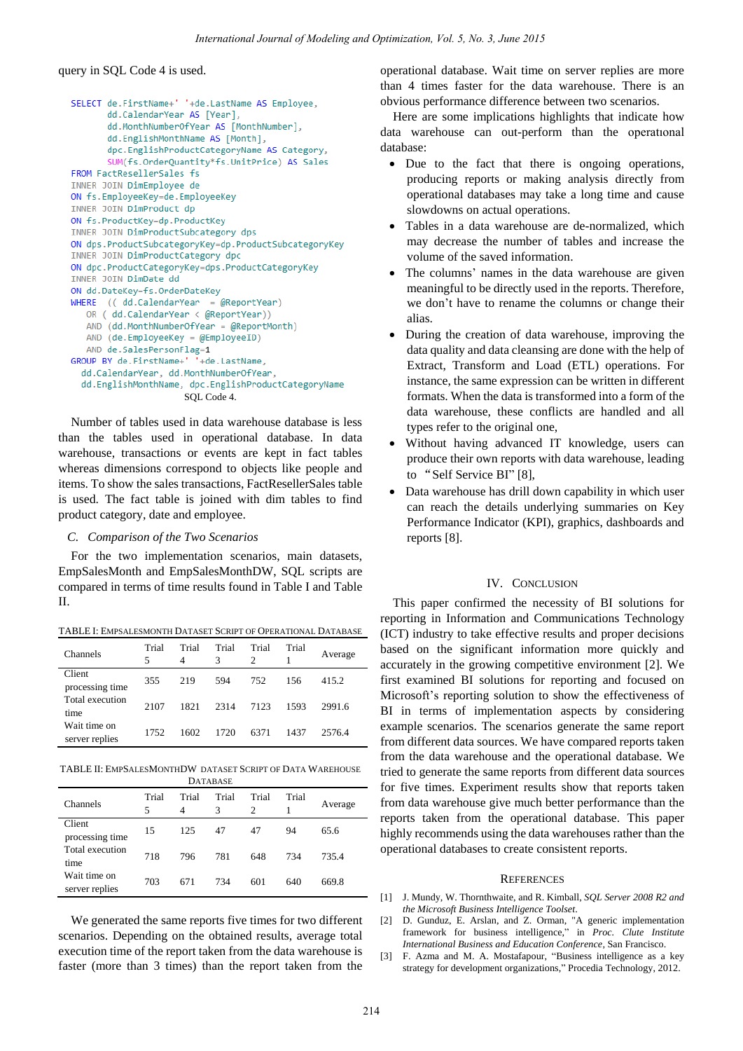query in SQL Code 4 is used.

```
SELECT de.FirstName+' '+de.LastName AS Employee,
       dd.CalendarYear AS [Year],
       dd.MonthNumberOfYear AS [MonthNumber],
       dd.EnglishMonthName AS [Month],
       dpc.EnglishProductCategoryName AS Category,
       SUM(fs.OrderOuantity*fs.UnitPrice) AS Sales
FROM FactResellerSales fs
INNER JOIN DimEmployee de
ON fs.EmployeeKey=de.EmployeeKey
INNER JOIN DimProduct dp
ON fs.ProductKey=dp.ProductKey
INNER JOIN DimProductSubcategory dps
ON dps.ProductSubcategoryKey=dp.ProductSubcategoryKey
INNER JOIN DimProductCategory dpc
ON dpc.ProductCategoryKey=dps.ProductCategoryKey
INNER JOIN DimDate dd
ON dd.DateKey=fs.OrderDateKey
WHERE ((dd.CalendarYear = @ReportYear)OR ( dd.CalendarYear < @ReportYear))
   AND (dd.MonthNumberOfYear = @ReportMonth)
   AND (de.EmploveeKev = @EmploveeID)
   AND de.SalesPersonFlag=1
GROUP BY de.FirstName+' '+de.LastName,
  dd.CalendarYear, dd.MonthNumberOfYear,
  dd.EnglishMonthName, dpc.EnglishProductCategoryName
                      SQL Code 4.
```
Number of tables used in data warehouse database is less than the tables used in operational database. In data warehouse, transactions or events are kept in fact tables whereas dimensions correspond to objects like people and items. To show the sales transactions, FactResellerSales table is used. The fact table is joined with dim tables to find product category, date and employee.

## *C. Comparison of the Two Scenarios*

For the two implementation scenarios, main datasets, EmpSalesMonth and EmpSalesMonthDW, SQL scripts are compared in terms of time results found in Table I and Table II.

TABLE I: EMPSALESMONTH DATASET SCRIPT OF OPERATIONAL DATABASE

| <b>Channels</b>                | Trial<br>$\overline{\phantom{1}}$ | Trial<br>4 | Trial<br>3 | Trial<br>$\mathcal{D}$ | Trial | Average |
|--------------------------------|-----------------------------------|------------|------------|------------------------|-------|---------|
| Client<br>processing time      | 355                               | 219        | 594        | 752                    | 156   | 415.2   |
| Total execution<br>time        | 2107                              | 1821       | 2314       | 7123                   | 1593  | 2991.6  |
| Wait time on<br>server replies | 1752                              | 1602       | 1720       | 6371                   | 1437  | 2576.4  |

TABLE II: EMPSALESMONTHDW DATASET SCRIPT OF DATA WAREHOUSE **DATABASE** 

| Channels                       | Trial<br>5 | Trial<br>4 | Trial<br>3 | Trial<br>2 | Trial | Average |
|--------------------------------|------------|------------|------------|------------|-------|---------|
| Client<br>processing time      | 15         | 125        | 47         | 47         | 94    | 65.6    |
| Total execution<br>time        | 718        | 796        | 781        | 648        | 734   | 735.4   |
| Wait time on<br>server replies | 703        | 671        | 734        | 601        | 640   | 669.8   |

We generated the same reports five times for two different scenarios. Depending on the obtained results, average total execution time of the report taken from the data warehouse is faster (more than 3 times) than the report taken from the operational database. Wait time on server replies are more than 4 times faster for the data warehouse. There is an obvious performance difference between two scenarios.

Here are some implications highlights that indicate how data warehouse can out-perform than the operatıonal database:

- Due to the fact that there is ongoing operations, producing reports or making analysis directly from operational databases may take a long time and cause slowdowns on actual operations.
- Tables in a data warehouse are de-normalized, which may decrease the number of tables and increase the volume of the saved information.
- The columns' names in the data warehouse are given meaningful to be directly used in the reports. Therefore, we don't have to rename the columns or change their alias.
- During the creation of data warehouse, improving the data quality and data cleansing are done with the help of Extract, Transform and Load (ETL) operations. For instance, the same expression can be written in different formats. When the data is transformed into a form of the data warehouse, these conflicts are handled and all types refer to the original one,
- Without having advanced IT knowledge, users can produce their own reports with data warehouse, leading to "Self Service BI" [8],
- Data warehouse has drill down capability in which user can reach the details underlying summaries on Key Performance Indicator (KPI), graphics, dashboards and reports [8].

## IV. CONCLUSION

This paper confirmed the necessity of BI solutions for reporting in Information and Communications Technology (ICT) industry to take effective results and proper decisions based on the significant information more quickly and accurately in the growing competitive environment [2]. We first examined BI solutions for reporting and focused on Microsoft's reporting solution to show the effectiveness of BI in terms of implementation aspects by considering example scenarios. The scenarios generate the same report from different data sources. We have compared reports taken from the data warehouse and the operational database. We tried to generate the same reports from different data sources for five times. Experiment results show that reports taken from data warehouse give much better performance than the reports taken from the operational database. This paper highly recommends using the data warehouses rather than the operational databases to create consistent reports.

### **REFERENCES**

- [1] J. Mundy, W. Thornthwaite, and R. Kimball, *SQL Server 2008 R2 and the Microsoft Business Intelligence Toolset*.
- [2] D. Gunduz, E. Arslan, and Z. Orman, "A generic implementation framework for business intelligence," in *Proc. Clute Institute International Business and Education Conference*, San Francisco.
- [3] F. Azma and M. A. Mostafapour, "Business intelligence as a key strategy for development organizations," Procedia Technology, 2012.